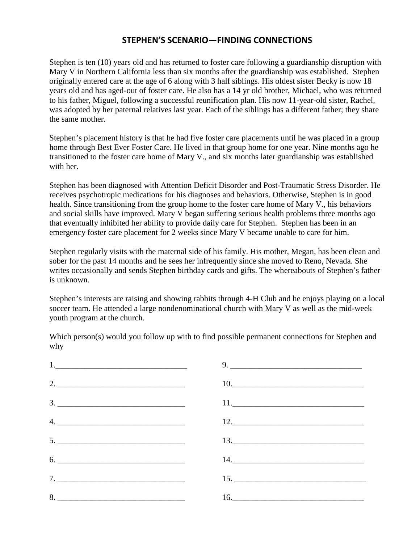## **STEPHEN'S SCENARIO—FINDING CONNECTIONS**

Stephen is ten (10) years old and has returned to foster care following a guardianship disruption with Mary V in Northern California less than six months after the guardianship was established. Stephen originally entered care at the age of 6 along with 3 half siblings. His oldest sister Becky is now 18 years old and has aged-out of foster care. He also has a 14 yr old brother, Michael, who was returned to his father, Miguel, following a successful reunification plan. His now 11-year-old sister, Rachel, was adopted by her paternal relatives last year. Each of the siblings has a different father; they share the same mother.

Stephen's placement history is that he had five foster care placements until he was placed in a group home through Best Ever Foster Care. He lived in that group home for one year. Nine months ago he transitioned to the foster care home of Mary V., and six months later guardianship was established with her.

Stephen has been diagnosed with Attention Deficit Disorder and Post-Traumatic Stress Disorder. He receives psychotropic medications for his diagnoses and behaviors. Otherwise, Stephen is in good health. Since transitioning from the group home to the foster care home of Mary V., his behaviors and social skills have improved. Mary V began suffering serious health problems three months ago that eventually inhibited her ability to provide daily care for Stephen. Stephen has been in an emergency foster care placement for 2 weeks since Mary V became unable to care for him.

Stephen regularly visits with the maternal side of his family. His mother, Megan, has been clean and sober for the past 14 months and he sees her infrequently since she moved to Reno, Nevada. She writes occasionally and sends Stephen birthday cards and gifts. The whereabouts of Stephen's father is unknown.

Stephen's interests are raising and showing rabbits through 4-H Club and he enjoys playing on a local soccer team. He attended a large nondenominational church with Mary V as well as the mid-week youth program at the church.

Which person(s) would you follow up with to find possible permanent connections for Stephen and why

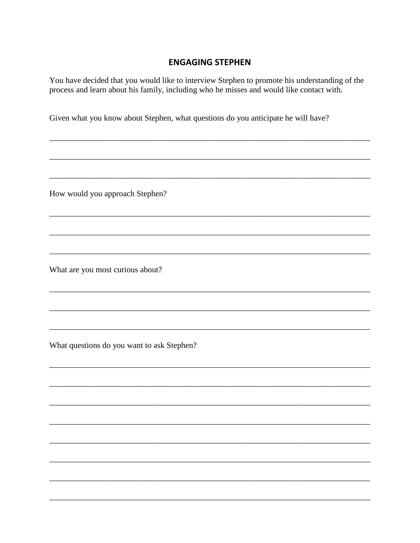## **ENGAGING STEPHEN**

You have decided that you would like to interview Stephen to promote his understanding of the process and learn about his family, including who he misses and would like contact with.

Given what you know about Stephen, what questions do you anticipate he will have?

How would you approach Stephen?

What are you most curious about?

What questions do you want to ask Stephen?